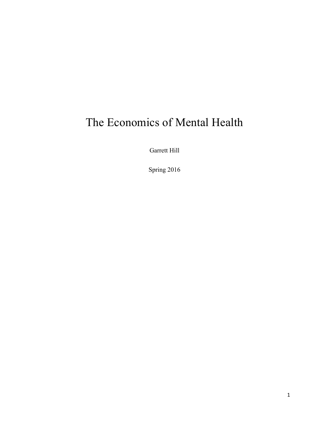# The Economics of Mental Health

Garrett Hill

Spring 2016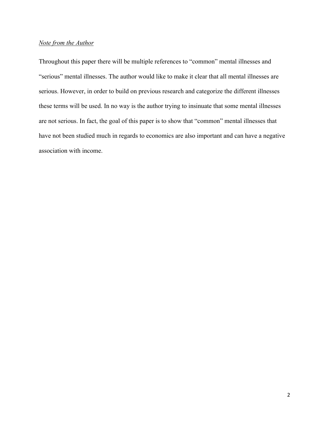## *Note from the Author*

Throughout this paper there will be multiple references to "common" mental illnesses and "serious" mental illnesses. The author would like to make it clear that all mental illnesses are serious. However, in order to build on previous research and categorize the different illnesses these terms will be used. In no way is the author trying to insinuate that some mental illnesses are not serious. In fact, the goal of this paper is to show that "common" mental illnesses that have not been studied much in regards to economics are also important and can have a negative association with income.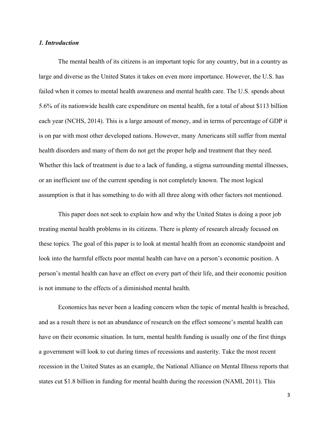#### *1. Introduction*

The mental health of its citizens is an important topic for any country, but in a country as large and diverse as the United States it takes on even more importance. However, the U.S. has failed when it comes to mental health awareness and mental health care. The U.S. spends about 5.6% of its nationwide health care expenditure on mental health, for a total of about \$113 billion each year (NCHS, 2014). This is a large amount of money, and in terms of percentage of GDP it is on par with most other developed nations. However, many Americans still suffer from mental health disorders and many of them do not get the proper help and treatment that they need. Whether this lack of treatment is due to a lack of funding, a stigma surrounding mental illnesses, or an inefficient use of the current spending is not completely known. The most logical assumption is that it has something to do with all three along with other factors not mentioned.

This paper does not seek to explain how and why the United States is doing a poor job treating mental health problems in its citizens. There is plenty of research already focused on these topics. The goal of this paper is to look at mental health from an economic standpoint and look into the harmful effects poor mental health can have on a person's economic position. A person's mental health can have an effect on every part of their life, and their economic position is not immune to the effects of a diminished mental health.

Economics has never been a leading concern when the topic of mental health is breached, and as a result there is not an abundance of research on the effect someone's mental health can have on their economic situation. In turn, mental health funding is usually one of the first things a government will look to cut during times of recessions and austerity. Take the most recent recession in the United States as an example, the National Alliance on Mental Illness reports that states cut \$1.8 billion in funding for mental health during the recession (NAMI, 2011). This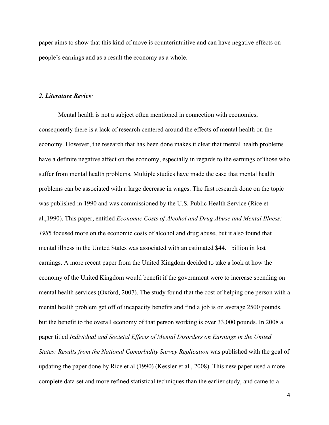paper aims to show that this kind of move is counterintuitive and can have negative effects on people's earnings and as a result the economy as a whole.

### *2. Literature Review*

Mental health is not a subject often mentioned in connection with economics, consequently there is a lack of research centered around the effects of mental health on the economy. However, the research that has been done makes it clear that mental health problems have a definite negative affect on the economy, especially in regards to the earnings of those who suffer from mental health problems. Multiple studies have made the case that mental health problems can be associated with a large decrease in wages. The first research done on the topic was published in 1990 and was commissioned by the U.S. Public Health Service (Rice et al.,1990). This paper, entitled *Economic Costs of Alcohol and Drug Abuse and Mental Illness: 198*5 focused more on the economic costs of alcohol and drug abuse, but it also found that mental illness in the United States was associated with an estimated \$44.1 billion in lost earnings. A more recent paper from the United Kingdom decided to take a look at how the economy of the United Kingdom would benefit if the government were to increase spending on mental health services (Oxford, 2007). The study found that the cost of helping one person with a mental health problem get off of incapacity benefits and find a job is on average 2500 pounds, but the benefit to the overall economy of that person working is over 33,000 pounds. In 2008 a paper titled *Individual and Societal Effects of Mental Disorders on Earnings in the United States: Results from the National Comorbidity Survey Replication* was published with the goal of updating the paper done by Rice et al (1990) (Kessler et al., 2008). This new paper used a more complete data set and more refined statistical techniques than the earlier study, and came to a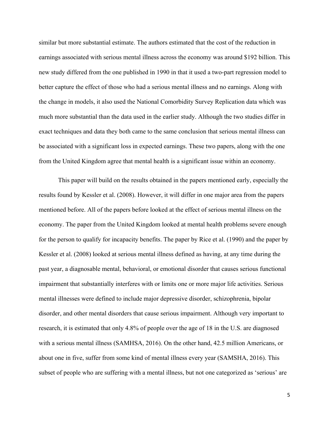similar but more substantial estimate. The authors estimated that the cost of the reduction in earnings associated with serious mental illness across the economy was around \$192 billion. This new study differed from the one published in 1990 in that it used a two-part regression model to better capture the effect of those who had a serious mental illness and no earnings. Along with the change in models, it also used the National Comorbidity Survey Replication data which was much more substantial than the data used in the earlier study. Although the two studies differ in exact techniques and data they both came to the same conclusion that serious mental illness can be associated with a significant loss in expected earnings. These two papers, along with the one from the United Kingdom agree that mental health is a significant issue within an economy.

This paper will build on the results obtained in the papers mentioned early, especially the results found by Kessler et al. (2008). However, it will differ in one major area from the papers mentioned before. All of the papers before looked at the effect of serious mental illness on the economy. The paper from the United Kingdom looked at mental health problems severe enough for the person to qualify for incapacity benefits. The paper by Rice et al. (1990) and the paper by Kessler et al. (2008) looked at serious mental illness defined as having, at any time during the past year, a diagnosable mental, behavioral, or emotional disorder that causes serious functional impairment that substantially interferes with or limits one or more major life activities. Serious mental illnesses were defined to include major depressive disorder, schizophrenia, bipolar disorder, and other mental disorders that cause serious impairment. Although very important to research, it is estimated that only 4.8% of people over the age of 18 in the U.S. are diagnosed with a serious mental illness (SAMHSA, 2016). On the other hand, 42.5 million Americans, or about one in five, suffer from some kind of mental illness every year (SAMSHA, 2016). This subset of people who are suffering with a mental illness, but not one categorized as 'serious' are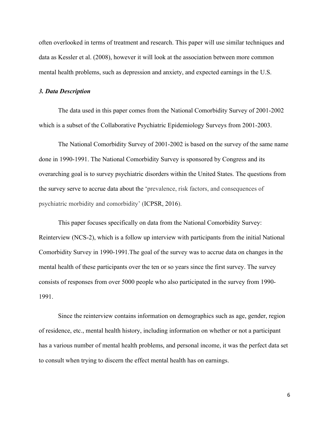often overlooked in terms of treatment and research. This paper will use similar techniques and data as Kessler et al. (2008), however it will look at the association between more common mental health problems, such as depression and anxiety, and expected earnings in the U.S.

#### *3. Data Description*

The data used in this paper comes from the National Comorbidity Survey of 2001-2002 which is a subset of the Collaborative Psychiatric Epidemiology Surveys from 2001-2003.

The National Comorbidity Survey of 2001-2002 is based on the survey of the same name done in 1990-1991. The National Comorbidity Survey is sponsored by Congress and its overarching goal is to survey psychiatric disorders within the United States. The questions from the survey serve to accrue data about the 'prevalence, risk factors, and consequences of psychiatric morbidity and comorbidity' (ICPSR, 2016).

This paper focuses specifically on data from the National Comorbidity Survey: Reinterview (NCS-2), which is a follow up interview with participants from the initial National Comorbidity Survey in 1990-1991.The goal of the survey was to accrue data on changes in the mental health of these participants over the ten or so years since the first survey. The survey consists of responses from over 5000 people who also participated in the survey from 1990- 1991.

Since the reinterview contains information on demographics such as age, gender, region of residence, etc., mental health history, including information on whether or not a participant has a various number of mental health problems, and personal income, it was the perfect data set to consult when trying to discern the effect mental health has on earnings.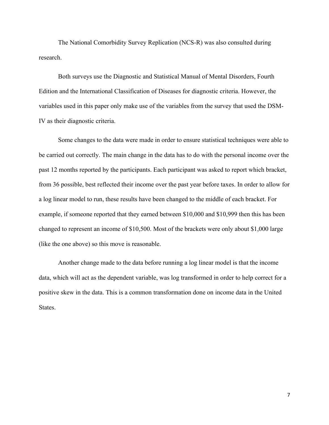The National Comorbidity Survey Replication (NCS-R) was also consulted during research.

Both surveys use the Diagnostic and Statistical Manual of Mental Disorders, Fourth Edition and the International Classification of Diseases for diagnostic criteria. However, the variables used in this paper only make use of the variables from the survey that used the DSM-IV as their diagnostic criteria.

Some changes to the data were made in order to ensure statistical techniques were able to be carried out correctly. The main change in the data has to do with the personal income over the past 12 months reported by the participants. Each participant was asked to report which bracket, from 36 possible, best reflected their income over the past year before taxes. In order to allow for a log linear model to run, these results have been changed to the middle of each bracket. For example, if someone reported that they earned between \$10,000 and \$10,999 then this has been changed to represent an income of \$10,500. Most of the brackets were only about \$1,000 large (like the one above) so this move is reasonable.

Another change made to the data before running a log linear model is that the income data, which will act as the dependent variable, was log transformed in order to help correct for a positive skew in the data. This is a common transformation done on income data in the United States.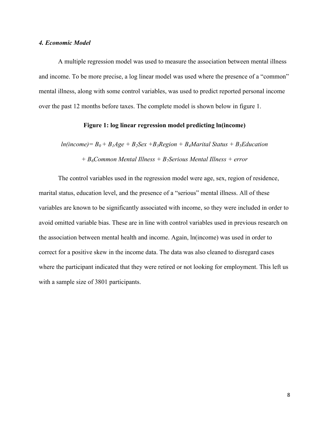#### *4. Economic Model*

A multiple regression model was used to measure the association between mental illness and income. To be more precise, a log linear model was used where the presence of a "common" mental illness, along with some control variables, was used to predict reported personal income over the past 12 months before taxes. The complete model is shown below in figure 1.

### **Figure 1: log linear regression model predicting ln(income)**

 $ln(income) = B_0 + B_1Age + B_2Sex + B_3Region + B_4Marital Status + B_5 Education$ *+ B6Common Mental Illness + B7Serious Mental Illness + error*

The control variables used in the regression model were age, sex, region of residence, marital status, education level, and the presence of a "serious" mental illness. All of these variables are known to be significantly associated with income, so they were included in order to avoid omitted variable bias. These are in line with control variables used in previous research on the association between mental health and income. Again, ln(income) was used in order to correct for a positive skew in the income data. The data was also cleaned to disregard cases where the participant indicated that they were retired or not looking for employment. This left us with a sample size of 3801 participants.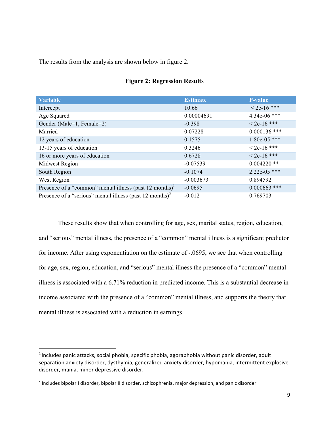The results from the analysis are shown below in figure 2.

| <b>Variable</b>                                                      | <b>Estimate</b> | <b>P-value</b> |
|----------------------------------------------------------------------|-----------------|----------------|
| Intercept                                                            | 10.66           | $<$ 2e-16 ***  |
| Age Squared                                                          | 0.00004691      | 4.34e-06 ***   |
| Gender (Male=1, Female=2)                                            | $-0.398$        | $< 2e-16$ ***  |
| Married                                                              | 0.07228         | $0.000136$ *** |
| 12 years of education                                                | 0.1575          | $1.80e-05$ *** |
| 13-15 years of education                                             | 0.3246          | $< 2e-16$ ***  |
| 16 or more years of education                                        | 0.6728          | $< 2e-16$ ***  |
| Midwest Region                                                       | $-0.07539$      | $0.004220$ **  |
| South Region                                                         | $-0.1074$       | $2.22e-05$ *** |
| West Region                                                          | $-0.003673$     | 0.894592       |
| Presence of a "common" mental illness (past 12 months) <sup>1</sup>  | $-0.0695$       | $0.000663$ *** |
| Presence of a "serious" mental illness (past 12 months) <sup>2</sup> | $-0.012$        | 0.769703       |

### **Figure 2: Regression Results**

These results show that when controlling for age, sex, marital status, region, education, and "serious" mental illness, the presence of a "common" mental illness is a significant predictor for income. After using exponentiation on the estimate of -.0695, we see that when controlling for age, sex, region, education, and "serious" mental illness the presence of a "common" mental illness is associated with a 6.71% reduction in predicted income. This is a substantial decrease in income associated with the presence of a "common" mental illness, and supports the theory that mental illness is associated with a reduction in earnings.

 $1$ Includes panic attacks, social phobia, specific phobia, agoraphobia without panic disorder, adult separation anxiety disorder, dysthymia, generalized anxiety disorder, hypomania, intermittent explosive disorder, mania, minor depressive disorder.

 $2$  Includes bipolar I disorder, bipolar II disorder, schizophrenia, major depression, and panic disorder.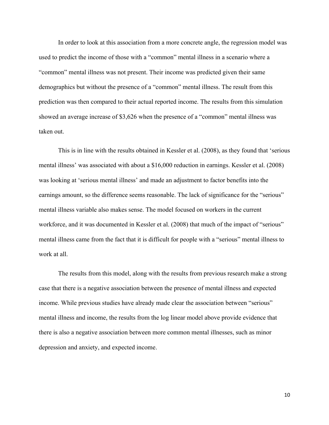In order to look at this association from a more concrete angle, the regression model was used to predict the income of those with a "common" mental illness in a scenario where a "common" mental illness was not present. Their income was predicted given their same demographics but without the presence of a "common" mental illness. The result from this prediction was then compared to their actual reported income. The results from this simulation showed an average increase of \$3,626 when the presence of a "common" mental illness was taken out.

This is in line with the results obtained in Kessler et al. (2008), as they found that 'serious mental illness' was associated with about a \$16,000 reduction in earnings. Kessler et al. (2008) was looking at 'serious mental illness' and made an adjustment to factor benefits into the earnings amount, so the difference seems reasonable. The lack of significance for the "serious" mental illness variable also makes sense. The model focused on workers in the current workforce, and it was documented in Kessler et al. (2008) that much of the impact of "serious" mental illness came from the fact that it is difficult for people with a "serious" mental illness to work at all.

The results from this model, along with the results from previous research make a strong case that there is a negative association between the presence of mental illness and expected income. While previous studies have already made clear the association between "serious" mental illness and income, the results from the log linear model above provide evidence that there is also a negative association between more common mental illnesses, such as minor depression and anxiety, and expected income.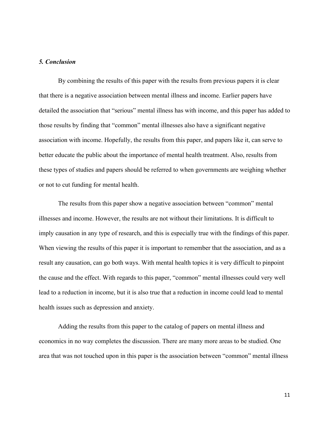### *5. Conclusion*

By combining the results of this paper with the results from previous papers it is clear that there is a negative association between mental illness and income. Earlier papers have detailed the association that "serious" mental illness has with income, and this paper has added to those results by finding that "common" mental illnesses also have a significant negative association with income. Hopefully, the results from this paper, and papers like it, can serve to better educate the public about the importance of mental health treatment. Also, results from these types of studies and papers should be referred to when governments are weighing whether or not to cut funding for mental health.

The results from this paper show a negative association between "common" mental illnesses and income. However, the results are not without their limitations. It is difficult to imply causation in any type of research, and this is especially true with the findings of this paper. When viewing the results of this paper it is important to remember that the association, and as a result any causation, can go both ways. With mental health topics it is very difficult to pinpoint the cause and the effect. With regards to this paper, "common" mental illnesses could very well lead to a reduction in income, but it is also true that a reduction in income could lead to mental health issues such as depression and anxiety.

Adding the results from this paper to the catalog of papers on mental illness and economics in no way completes the discussion. There are many more areas to be studied. One area that was not touched upon in this paper is the association between "common" mental illness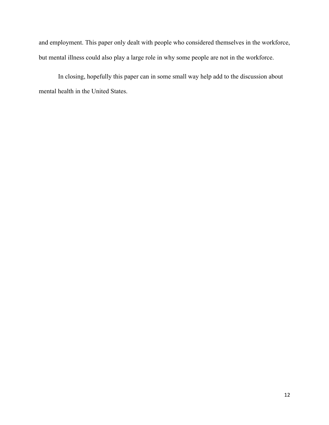and employment. This paper only dealt with people who considered themselves in the workforce, but mental illness could also play a large role in why some people are not in the workforce.

In closing, hopefully this paper can in some small way help add to the discussion about mental health in the United States.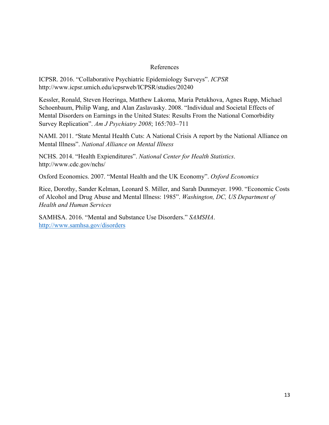### References

ICPSR. 2016. "Collaborative Psychiatric Epidemiology Surveys". *ICPSR*  http://www.icpsr.umich.edu/icpsrweb/ICPSR/studies/20240

Kessler, Ronald, Steven Heeringa, Matthew Lakoma, Maria Petukhova, Agnes Rupp, Michael Schoenbaum, Philip Wang, and Alan Zaslavasky. 2008. "Individual and Societal Effects of Mental Disorders on Earnings in the United States: Results From the National Comorbidity Survey Replication". *Am J Psychiatry 2008*; 165:703–711

NAMI. 2011. "State Mental Health Cuts: A National Crisis A report by the National Alliance on Mental Illness". *National Alliance on Mental Illness*

NCHS. 2014. "Health Expienditures". *National Center for Health Statistics*. http://www.cdc.gov/nchs/

Oxford Economics. 2007. "Mental Health and the UK Economy". *Oxford Economics*

Rice, Dorothy, Sander Kelman, Leonard S. Miller, and Sarah Dunmeyer. 1990. "Economic Costs of Alcohol and Drug Abuse and Mental Illness: 1985". *Washington, DC, US Department of Health and Human Services*

SAMHSA. 2016. "Mental and Substance Use Disorders." *SAMSHA*. http://www.samhsa.gov/disorders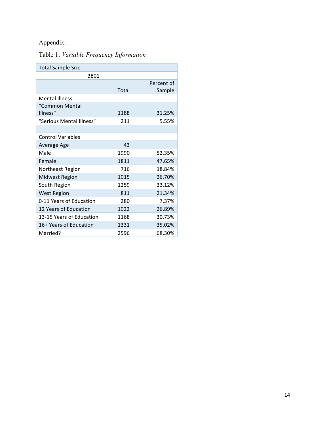# Appendix:

# Table 1: *Variable Frequency Information*

| <b>Total Sample Size</b> |       |            |
|--------------------------|-------|------------|
| 3801                     |       |            |
|                          |       | Percent of |
|                          | Total | Sample     |
| <b>Mental Illness</b>    |       |            |
| "Common Mental           |       |            |
| Illness"                 | 1188  | 31.25%     |
| "Serious Mental Illness" | 211   | 5.55%      |
|                          |       |            |
| <b>Control Variables</b> |       |            |
| Average Age              | 43    |            |
| Male                     | 1990  | 52.35%     |
| Female                   | 1811  | 47.65%     |
| Northeast Region         | 716   | 18.84%     |
| <b>Midwest Region</b>    | 1015  | 26.70%     |
| South Region             | 1259  | 33.12%     |
| <b>West Region</b>       | 811   | 21.34%     |
| 0-11 Years of Education  | 280   | 7.37%      |
| 12 Years of Education    | 1022  | 26.89%     |
| 13-15 Years of Education | 1168  | 30.73%     |
| 16+ Years of Education   | 1331  | 35.02%     |
| Married?                 | 2596  | 68.30%     |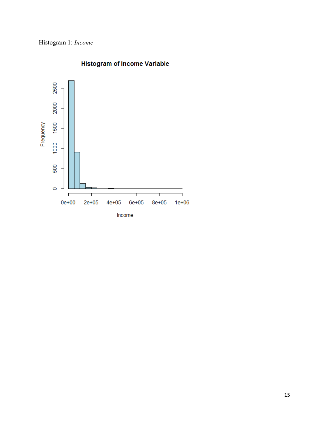# Histogram 1: *Income*



# **Histogram of Income Variable**